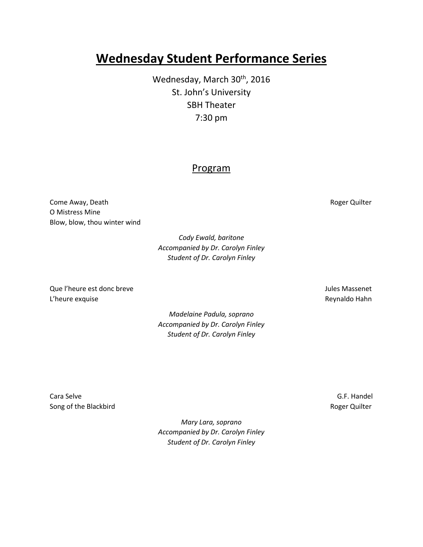## **Wednesday Student Performance Series**

Wednesday, March 30<sup>th</sup>, 2016 St. John's University SBH Theater 7:30 pm

## Program

Come Away, Death **Roger Quilter** Come Away, Death O Mistress Mine Blow, blow, thou winter wind

> *Cody Ewald, baritone Accompanied by Dr. Carolyn Finley Student of Dr. Carolyn Finley*

Que l'heure est donc breve Jules Massenet L'heure exquise et al. Alian et al. Alian et al. Alian et al. Alian et al. Alian et al. Alian et al. Alian et a

> *Madelaine Padula, soprano Accompanied by Dr. Carolyn Finley Student of Dr. Carolyn Finley*

Cara Selve G.F. Handel Song of the Blackbird **Roger Quilter** Roger Quilter

*Mary Lara, soprano Accompanied by Dr. Carolyn Finley Student of Dr. Carolyn Finley*